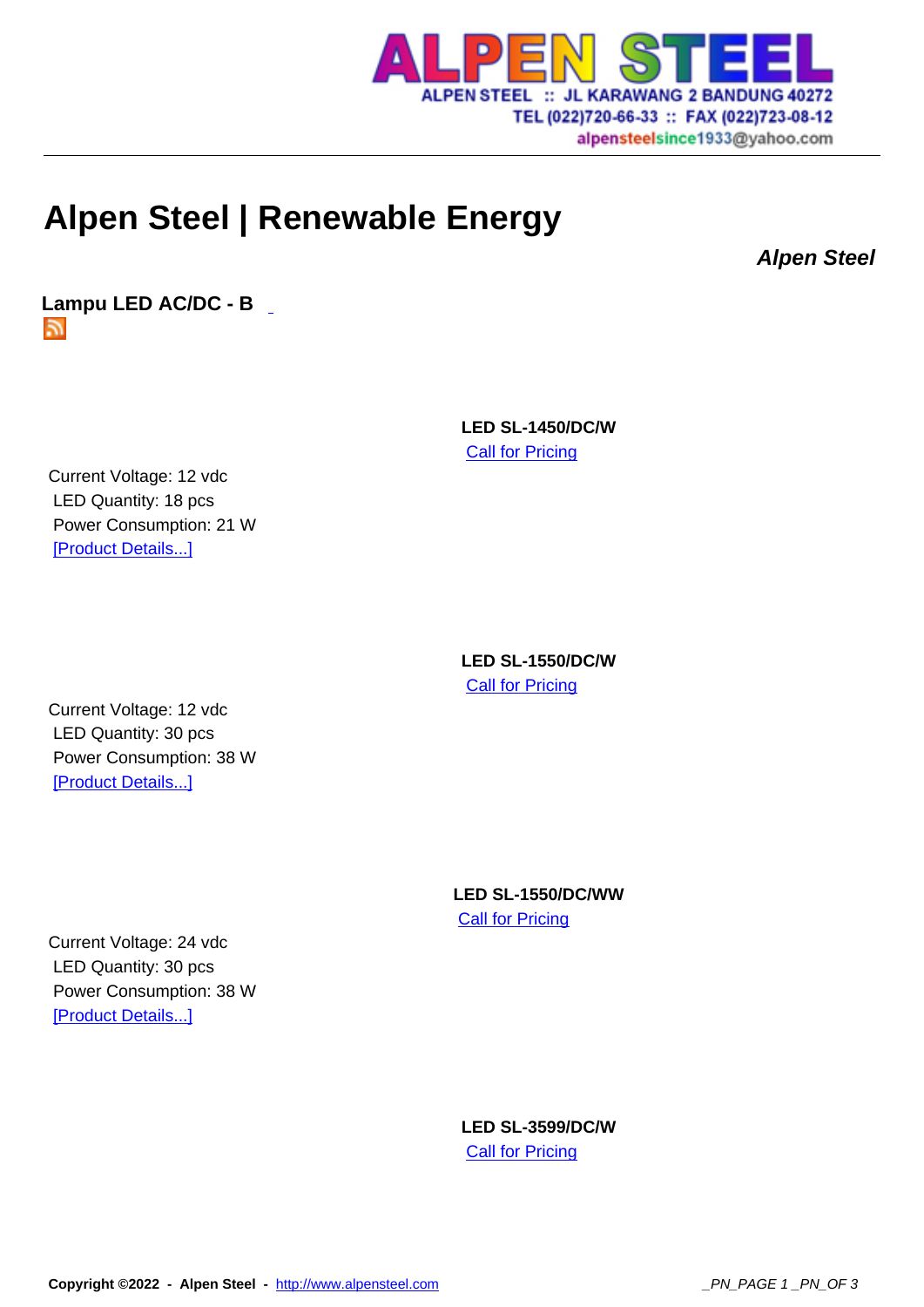

## **Alpen Steel | Renew[able Energy](http://www.alpensteel.com)**

**Alpen Steel**

**Lampu LED AC/DC - B**  ה

> **LED SL-1450/DC/W Call for Pricing**

Current Voltage: 12 vdc LED Quantity: 18 pcs Power Consumption: 21 W [Product Details...]

> **LED SL-1550/DC/W Call for Pricing**

Current Voltage: 12 vdc LED Quantity: 30 pcs Power Consumption: 38 W [Product Details...]

> **LED SL-1550/DC/WW Call for Pricing**

Current Voltage: 24 vdc LED Quantity: 30 pcs Power Consumption: 38 W [Product Details...]

> **LED SL-3599/DC/W Call for Pricing**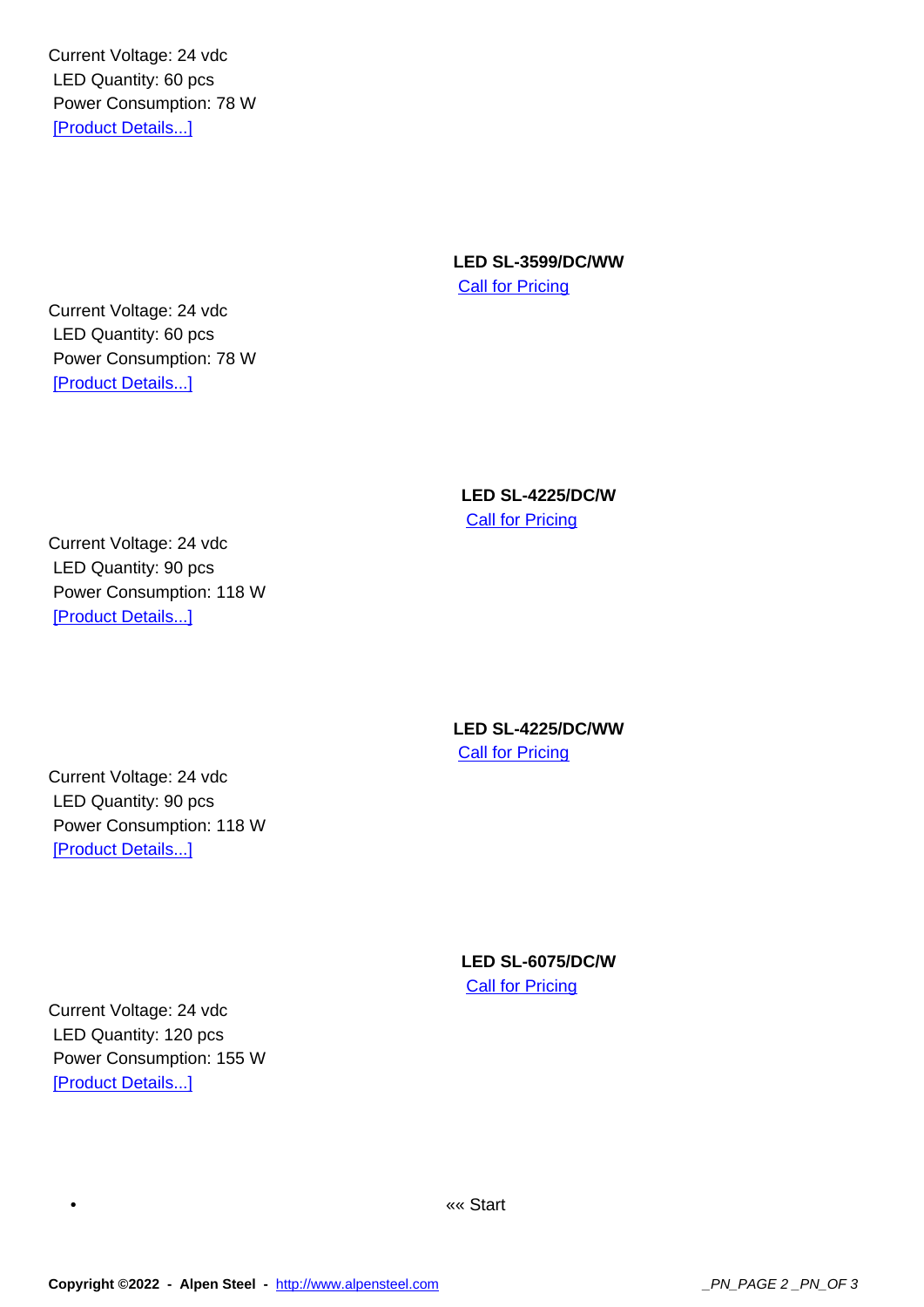LED Quantity: 60 pcs Power Consumption: 78 W [Product Details...]

> **LED SL-3599/DC/WW** Call for Pricing

Current Voltage: 24 vdc LED Quantity: 60 pcs Power Consumption: 78 W [Product Details...]

> **LED SL-4225/DC/W Call for Pricing**

Current Voltage: 24 vdc LED Quantity: 90 pcs Power Consumption: 118 W [Product Details...]

> **LED SL-4225/DC/WW Call for Pricing**

Current Voltage: 24 vdc LED Quantity: 90 pcs Power Consumption: 118 W [Product Details...]

> **LED SL-6075/DC/W** Call for Pricing

Current Voltage: 24 vdc LED Quantity: 120 pcs Power Consumption: 155 W [Product Details...]